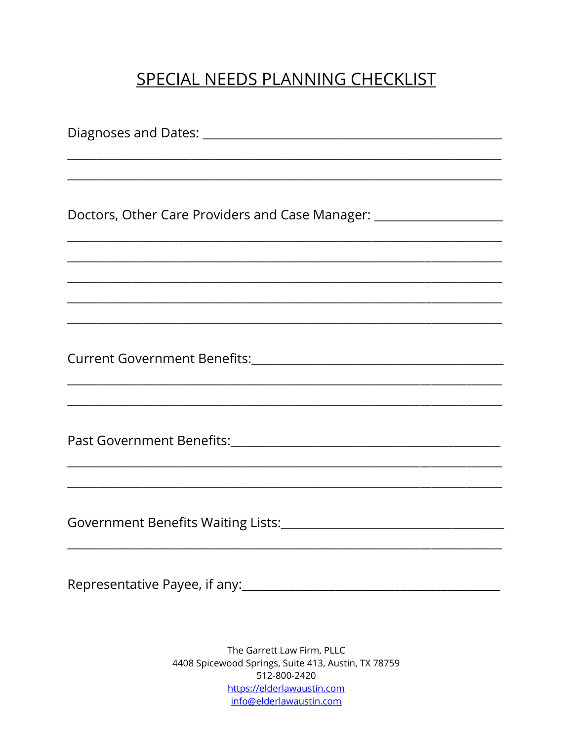## SPECIAL NEEDS PLANNING CHECKLIST

Diagnoses and Dates: Diagnoses and Dates: Doctors, Other Care Providers and Case Manager: \_\_\_\_\_\_\_\_\_\_\_\_\_\_\_\_\_\_\_\_\_\_\_\_\_\_\_\_\_\_\_\_ Government Benefits Waiting Lists:<br>
List Strategy List Strategy List Strategy Annual List of Australian Annual List of Australian Annual List of A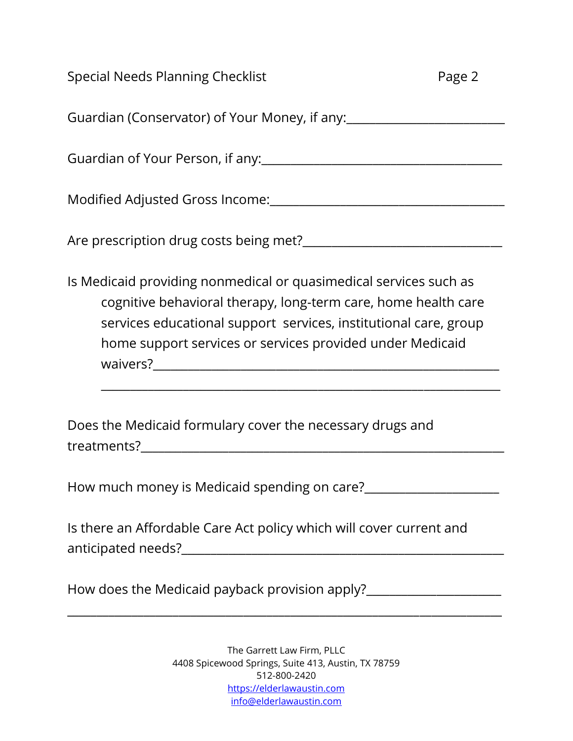| Special Needs Planning Checklist                                  | Page 2 |
|-------------------------------------------------------------------|--------|
| Guardian (Conservator) of Your Money, if any:                     |        |
| Guardian of Your Person, if any:                                  |        |
| Modified Adjusted Gross Income:                                   |        |
| Are prescription drug costs being met?                            |        |
| Is Medicaid providing nonmedical or quasimedical services such as |        |

 cognitive behavioral therapy, long-term care, home health care services educational support services, institutional care, group home support services or services provided under Medicaid waivers? Universed and the set of the set of the set of the set of the set of the set of the set of the set of the set of the set of the set of the set of the set of the set of the set of the set of the set of the set of t

\_\_\_\_\_\_\_\_\_\_\_\_\_\_\_\_\_\_\_\_\_\_\_\_\_\_\_\_\_\_\_\_\_\_\_\_\_\_\_\_\_\_\_\_\_\_\_\_\_\_\_\_\_\_\_\_\_\_\_\_\_\_\_\_\_\_\_\_

Does the Medicaid formulary cover the necessary drugs and treatments?\_\_\_\_\_\_\_\_\_\_\_\_\_\_\_\_\_\_\_\_\_\_\_\_\_\_\_\_\_\_\_\_\_\_\_\_\_\_\_\_\_\_\_\_\_\_\_\_\_\_\_\_\_\_\_\_\_\_\_\_\_\_

How much money is Medicaid spending on care?\_\_\_\_\_\_\_\_\_\_\_\_\_\_\_\_\_\_\_\_\_\_\_

Is there an Affordable Care Act policy which will cover current and anticipated needs?\_\_\_\_\_\_\_\_\_\_\_\_\_\_\_\_\_\_\_\_\_\_\_\_\_\_\_\_\_\_\_\_\_\_\_\_\_\_\_\_\_\_\_\_\_\_\_\_\_\_\_\_\_\_\_

How does the Medicaid payback provision apply?\_\_\_\_\_\_\_\_\_\_\_\_\_\_\_\_\_\_\_\_\_\_\_\_\_\_\_\_\_\_\_\_\_\_

\_\_\_\_\_\_\_\_\_\_\_\_\_\_\_\_\_\_\_\_\_\_\_\_\_\_\_\_\_\_\_\_\_\_\_\_\_\_\_\_\_\_\_\_\_\_\_\_\_\_\_\_\_\_\_\_\_\_\_\_\_\_\_\_\_\_\_\_\_\_\_\_\_\_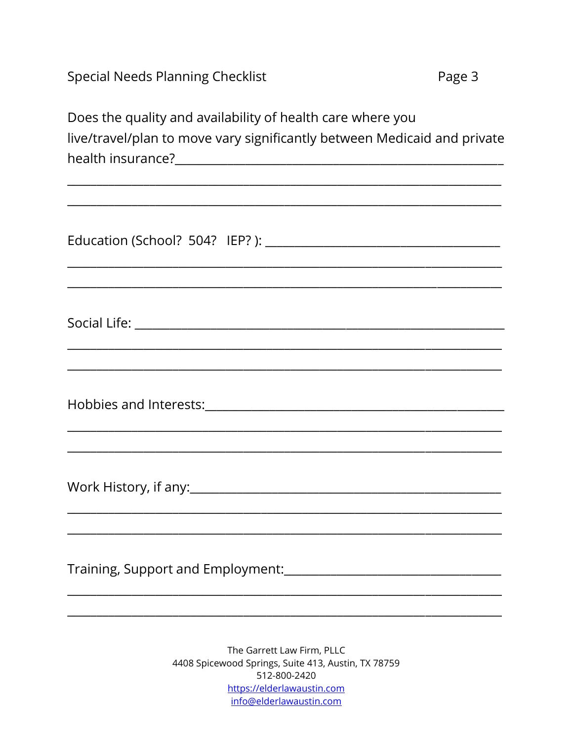**Special Needs Planning Checklist** 

Does the quality and availability of health care where you live/travel/plan to move vary significantly between Medicaid and private 

| ,我们也不能在这里的时候,我们也不能在这里的时候,我们也不能会在这里的时候,我们也不能会在这里的时候,我们也不能会在这里的时候,我们也不能会在这里的时候,我们也 |
|----------------------------------------------------------------------------------|
|                                                                                  |
|                                                                                  |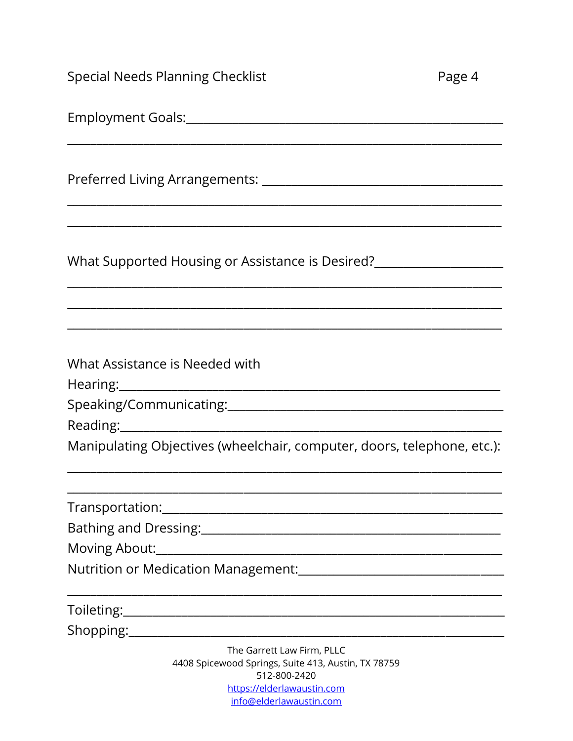| <b>Special Needs Planning Checklist</b>                                                                                                                                                                                                                          | Page 4 |
|------------------------------------------------------------------------------------------------------------------------------------------------------------------------------------------------------------------------------------------------------------------|--------|
|                                                                                                                                                                                                                                                                  |        |
|                                                                                                                                                                                                                                                                  |        |
| <u> 1989 - Johann Stoff, amerikansk politiker (d. 1989)</u>                                                                                                                                                                                                      |        |
|                                                                                                                                                                                                                                                                  |        |
| What Assistance is Needed with<br>Hearing: 1999 - The Contract of the Contract of the Contract of the Contract of the Contract of the Contract of the Contract of the Contract of the Contract of the Contract of the Contract of the Contract of the Contract o |        |
|                                                                                                                                                                                                                                                                  |        |
|                                                                                                                                                                                                                                                                  |        |
| Manipulating Objectives (wheelchair, computer, doors, telephone, etc.):                                                                                                                                                                                          |        |
|                                                                                                                                                                                                                                                                  |        |
| Bathing and Dressing: 1997 - 1997 - 1998 - 1998 - 1998 - 1999 - 1999 - 1999 - 1999 - 1999 - 1999 - 1999 - 199                                                                                                                                                    |        |
|                                                                                                                                                                                                                                                                  |        |
|                                                                                                                                                                                                                                                                  |        |
|                                                                                                                                                                                                                                                                  |        |
|                                                                                                                                                                                                                                                                  |        |
| The Garrett Law Firm, PLLC<br>4408 Spicewood Springs, Suite 413, Austin, TX 78759<br>512-800-2420                                                                                                                                                                |        |

https://elderlawaustin.com<br>info@elderlawaustin.com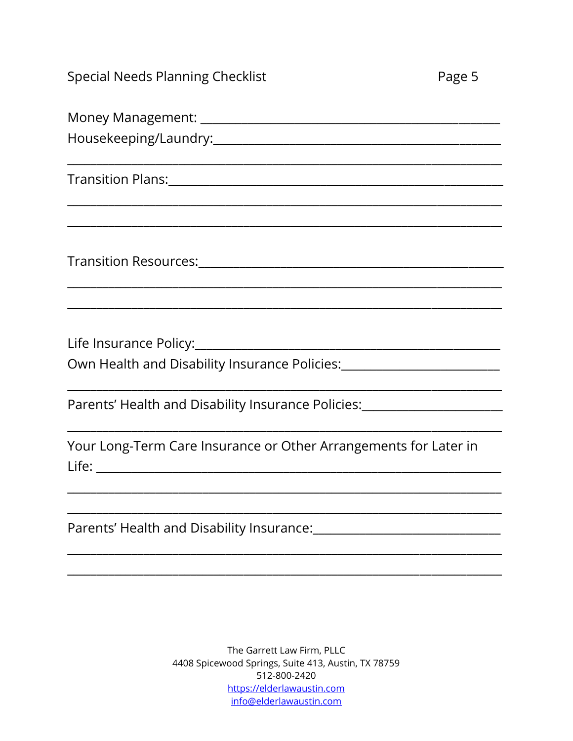| Special Needs Planning Checklist |  |  |
|----------------------------------|--|--|
|----------------------------------|--|--|

| 0 |  |
|---|--|
|   |  |

| Own Health and Disability Insurance Policies: ____________________________                                    |
|---------------------------------------------------------------------------------------------------------------|
|                                                                                                               |
| Parents' Health and Disability Insurance Policies: [100] [2012] [2013] [2014] [2014] [2015] [2016] [2016] [20 |
|                                                                                                               |
| Your Long-Term Care Insurance or Other Arrangements for Later in                                              |
|                                                                                                               |
|                                                                                                               |
|                                                                                                               |
| Parents' Health and Disability Insurance:                                                                     |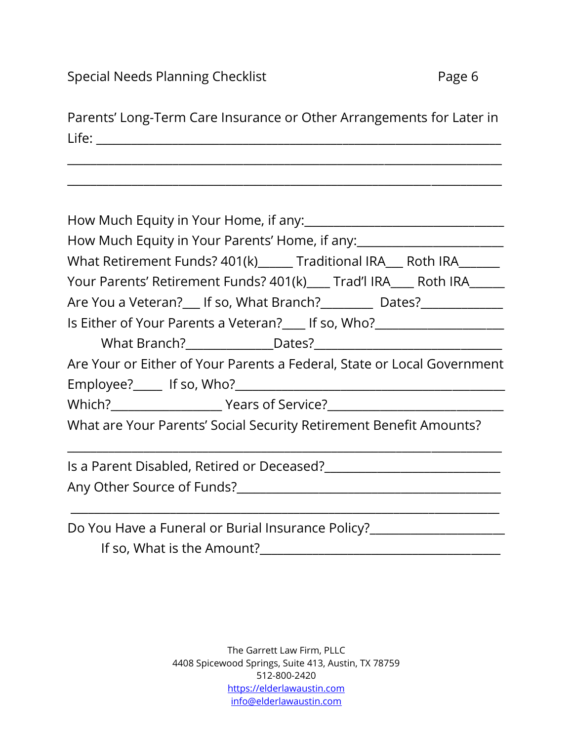Parents' Long-Term Care Insurance or Other Arrangements for Later in Life: \_\_\_\_\_\_\_\_\_\_\_\_\_\_\_\_\_\_\_\_\_\_\_\_\_\_\_\_\_\_\_\_\_\_\_\_\_\_\_\_\_\_\_\_\_\_\_\_\_\_\_\_\_\_\_\_\_\_\_\_\_\_\_\_\_\_\_\_\_

\_\_\_\_\_\_\_\_\_\_\_\_\_\_\_\_\_\_\_\_\_\_\_\_\_\_\_\_\_\_\_\_\_\_\_\_\_\_\_\_\_\_\_\_\_\_\_\_\_\_\_\_\_\_\_\_\_\_\_\_\_\_\_\_\_\_\_\_\_\_\_\_\_\_

\_\_\_\_\_\_\_\_\_\_\_\_\_\_\_\_\_\_\_\_\_\_\_\_\_\_\_\_\_\_\_\_\_\_\_\_\_\_\_\_\_\_\_\_\_\_\_\_\_\_\_\_\_\_\_\_\_\_\_\_\_\_\_\_\_\_\_\_\_\_\_\_\_\_

| How Much Equity in Your Parents' Home, if any: _________________________________ |
|----------------------------------------------------------------------------------|
| What Retirement Funds? 401(k)______ Traditional IRA___ Roth IRA_______           |
| Your Parents' Retirement Funds? 401(k) ___ Trad'l IRA___ Roth IRA_____           |
| Are You a Veteran? If so, What Branch? Dates?                                    |
| Is Either of Your Parents a Veteran? Fig. 0. Who?                                |
|                                                                                  |
| Are Your or Either of Your Parents a Federal, State or Local Government          |
|                                                                                  |
|                                                                                  |
| What are Your Parents' Social Security Retirement Benefit Amounts?               |
|                                                                                  |
|                                                                                  |
| Do You Have a Funeral or Burial Insurance Policy?                                |

If so, What is the Amount?\_\_\_\_\_\_\_\_\_\_\_\_\_\_\_\_\_\_\_\_\_\_\_\_\_\_\_\_\_\_\_\_\_\_\_\_\_\_\_\_\_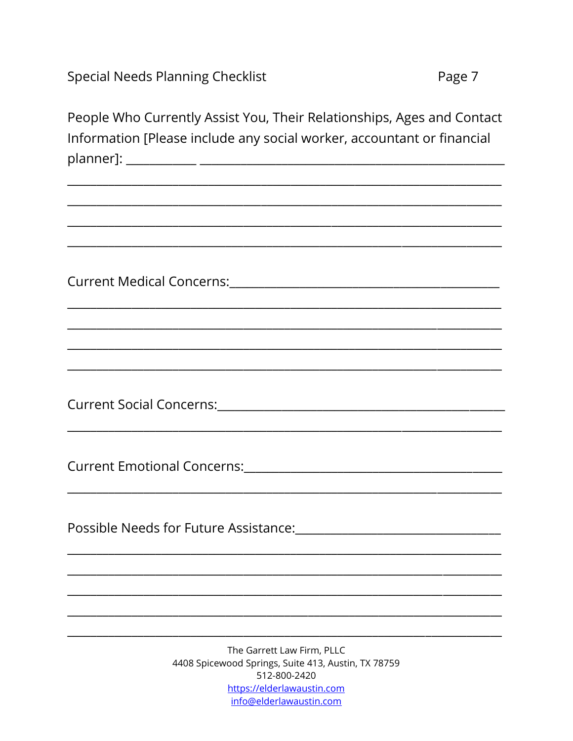**Special Needs Planning Checklist** 

People Who Currently Assist You, Their Relationships, Ages and Contact Information [Please include any social worker, accountant or financial 

Current Medical Concerns: Current Medical Concerns:

Possible Needs for Future Assistance: Network and the Marian School and Theorem and Theorem and Theorem and Theorem and Theorem and Theorem and Theorem and Theorem and Theorem and Theorem and Theorem and Theorem and Theore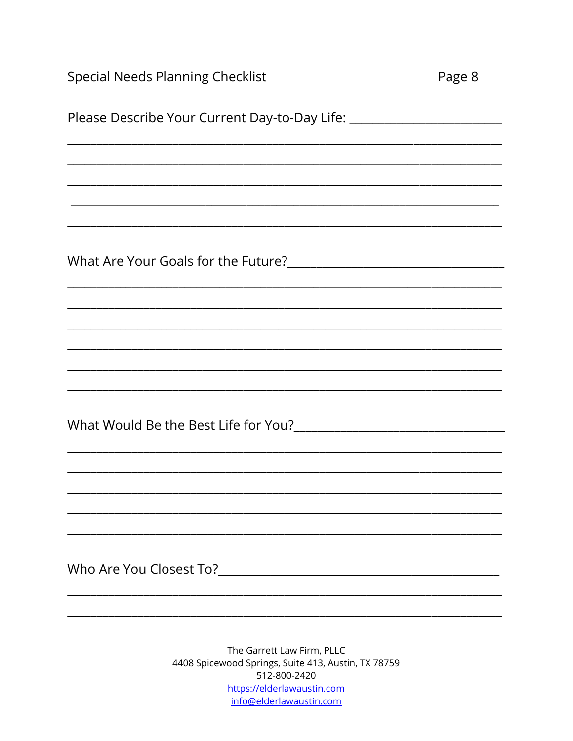| <b>Special Needs Planning Checklist</b>                                          | Page 8 |
|----------------------------------------------------------------------------------|--------|
| Please Describe Your Current Day-to-Day Life: __________________________________ |        |
|                                                                                  |        |
|                                                                                  |        |
|                                                                                  |        |
|                                                                                  |        |
|                                                                                  |        |
|                                                                                  |        |
|                                                                                  |        |
|                                                                                  |        |
|                                                                                  |        |
|                                                                                  |        |
|                                                                                  |        |
|                                                                                  |        |
|                                                                                  |        |
|                                                                                  |        |
|                                                                                  |        |
|                                                                                  |        |
| The Garrett Law Firm $PIIC$                                                      |        |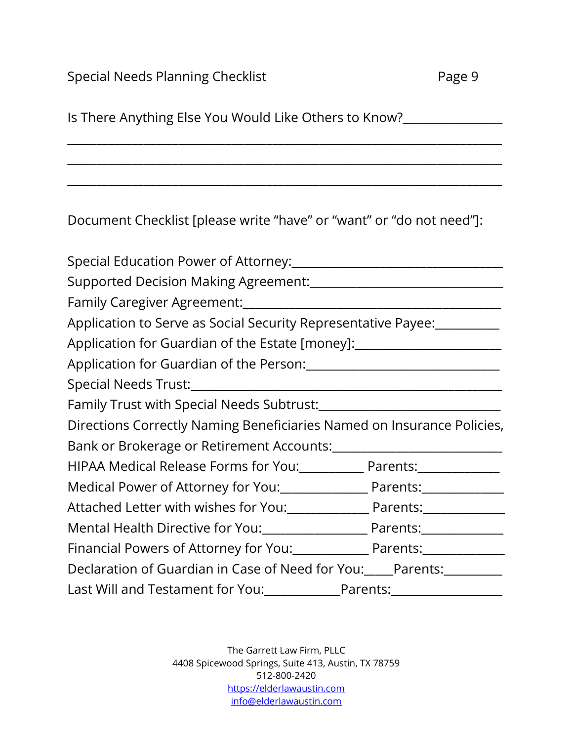| Is There Anything Else You Would Like Others to Know?________________    |  |
|--------------------------------------------------------------------------|--|
|                                                                          |  |
| Document Checklist [please write "have" or "want" or "do not need"]:     |  |
|                                                                          |  |
|                                                                          |  |
|                                                                          |  |
| Application to Serve as Social Security Representative Payee:            |  |
| Application for Guardian of the Estate [money]: ________________________ |  |
|                                                                          |  |
|                                                                          |  |
|                                                                          |  |
| Directions Correctly Naming Beneficiaries Named on Insurance Policies,   |  |
|                                                                          |  |
| HIPAA Medical Release Forms for You: Parents: Parents:                   |  |
| Medical Power of Attorney for You: Parents: Parents:                     |  |
|                                                                          |  |
| Mental Health Directive for You: Parents: Parents:                       |  |
| Financial Powers of Attorney for You: Parents: Parents:                  |  |
| Declaration of Guardian in Case of Need for You: Parents:                |  |
| Last Will and Testament for You: Parents: 1990 Million Parents:          |  |